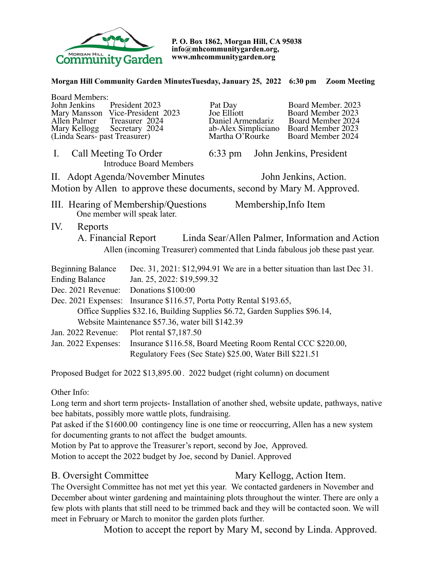

**P. O. Box 1862, Morgan Hill, CA 95038 info@mhcommunitygarden.org, www.mhcommunitygarden.org** 

### **Morgan Hill Community Garden MinutesTuesday, January 25, 2022 6:30 pm Zoom Meeting**

| <b>Board Members:</b>                                                                         |                                                             |                                  |                         |                                                                           |  |
|-----------------------------------------------------------------------------------------------|-------------------------------------------------------------|----------------------------------|-------------------------|---------------------------------------------------------------------------|--|
| John Jenkins                                                                                  | President 2023                                              | Pat Day                          |                         | Board Member. 2023                                                        |  |
| Mary Mansson Vice-President 2023<br>Allen Palmer                                              | Treasurer 2024                                              | Joe Elliott<br>Daniel Armendariz |                         | Board Member 2023<br>Board Member 2024                                    |  |
| Mary Kellogg Secretary 2024                                                                   |                                                             | ab-Alex Simpliciano              |                         | Board Member 2023                                                         |  |
| (Linda Sears- past Treasurer)                                                                 |                                                             | Martha O'Rourke                  |                         | Board Member 2024                                                         |  |
| $\mathbf{I}$ .<br>Call Meeting To Order<br><b>Introduce Board Members</b>                     | $6:33 \text{ pm}$                                           |                                  | John Jenkins, President |                                                                           |  |
| II. Adopt Agenda/November Minutes<br>John Jenkins, Action.                                    |                                                             |                                  |                         |                                                                           |  |
| Motion by Allen to approve these documents, second by Mary M. Approved.                       |                                                             |                                  |                         |                                                                           |  |
| III. Hearing of Membership/Questions<br>Membership, Info Item<br>One member will speak later. |                                                             |                                  |                         |                                                                           |  |
| IV.<br>Reports                                                                                |                                                             |                                  |                         |                                                                           |  |
| Linda Sear/Allen Palmer, Information and Action<br>A. Financial Report                        |                                                             |                                  |                         |                                                                           |  |
| Allen (incoming Treasurer) commented that Linda fabulous job these past year.                 |                                                             |                                  |                         |                                                                           |  |
| <b>Beginning Balance</b>                                                                      |                                                             |                                  |                         | Dec. 31, 2021: \$12,994.91 We are in a better situation than last Dec 31. |  |
| <b>Ending Balance</b><br>Jan. 25, 2022: \$19,599.32                                           |                                                             |                                  |                         |                                                                           |  |
| Dec. 2021 Revenue: Donations \$100:00                                                         |                                                             |                                  |                         |                                                                           |  |
| Dec. 2021 Expenses: Insurance \$116.57, Porta Potty Rental \$193.65,                          |                                                             |                                  |                         |                                                                           |  |
| Office Supplies \$32.16, Building Supplies \$6.72, Garden Supplies \$96.14,                   |                                                             |                                  |                         |                                                                           |  |
| Website Maintenance \$57.36, water bill \$142.39                                              |                                                             |                                  |                         |                                                                           |  |
| Jan. 2022 Revenue:                                                                            | Plot rental \$7,187.50                                      |                                  |                         |                                                                           |  |
| Jan. 2022 Expenses:                                                                           | Insurance \$116.58, Board Meeting Room Rental CCC \$220.00, |                                  |                         |                                                                           |  |
| Regulatory Fees (Sec State) \$25.00, Water Bill \$221.51                                      |                                                             |                                  |                         |                                                                           |  |
| Proposed Budget for 2022 \$13,895.00. 2022 budget (right column) on document                  |                                                             |                                  |                         |                                                                           |  |

Other Info:

Long term and short term projects- Installation of another shed, website update, pathways, native bee habitats, possibly more wattle plots, fundraising.

Pat asked if the \$1600.00 contingency line is one time or reoccurring, Allen has a new system for documenting grants to not affect the budget amounts.

Motion by Pat to approve the Treasurer's report, second by Joe, Approved. Motion to accept the 2022 budget by Joe, second by Daniel. Approved

# B. Oversight Committee Mary Kellogg, Action Item.

The Oversight Committee has not met yet this year. We contacted gardeners in November and December about winter gardening and maintaining plots throughout the winter. There are only a few plots with plants that still need to be trimmed back and they will be contacted soon. We will meet in February or March to monitor the garden plots further.

Motion to accept the report by Mary M, second by Linda. Approved.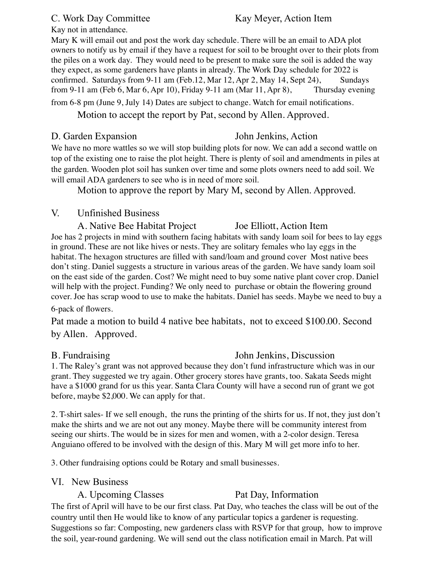### C. Work Day Committee Kay Meyer, Action Item

Kay not in attendance.

Mary K will email out and post the work day schedule. There will be an email to ADA plot owners to notify us by email if they have a request for soil to be brought over to their plots from the piles on a work day. They would need to be present to make sure the soil is added the way they expect, as some gardeners have plants in already. The Work Day schedule for 2022 is confirmed. Saturdays from  $9-11$  am (Feb.12, Mar 12, Apr 2, May 14, Sept 24), Sundays from 9-11 am (Feb 6, Mar 6, Apr 10), Friday 9-11 am (Mar 11, Apr 8), Thursday evening from 6-8 pm (June 9, July 14) Dates are subject to change. Watch for email notifications.

# Motion to accept the report by Pat, second by Allen. Approved.

## D. Garden Expansion John Jenkins, Action

We have no more wattles so we will stop building plots for now. We can add a second wattle on top of the existing one to raise the plot height. There is plenty of soil and amendments in piles at the garden. Wooden plot soil has sunken over time and some plots owners need to add soil. We will email ADA gardeners to see who is in need of more soil.

Motion to approve the report by Mary M, second by Allen. Approved.

# V. Unfinished Business

A. Native Bee Habitat Project Joe Elliott, Action Item Joe has 2 projects in mind with southern facing habitats with sandy loam soil for bees to lay eggs in ground. These are not like hives or nests. They are solitary females who lay eggs in the habitat. The hexagon structures are filled with sand/loam and ground cover Most native bees don't sting. Daniel suggests a structure in various areas of the garden. We have sandy loam soil on the east side of the garden. Cost? We might need to buy some native plant cover crop. Daniel will help with the project. Funding? We only need to purchase or obtain the flowering ground cover. Joe has scrap wood to use to make the habitats. Daniel has seeds. Maybe we need to buy a

### 6-pack of flowers.

Pat made a motion to build 4 native bee habitats, not to exceed \$100.00. Second by Allen. Approved.

## B. Fundraising John Jenkins, Discussion

1. The Raley's grant was not approved because they don't fund infrastructure which was in our grant. They suggested we try again. Other grocery stores have grants, too. Sakata Seeds might have a \$1000 grand for us this year. Santa Clara County will have a second run of grant we got before, maybe \$2,000. We can apply for that.

2. T-shirt sales- If we sell enough, the runs the printing of the shirts for us. If not, they just don't make the shirts and we are not out any money. Maybe there will be community interest from seeing our shirts. The would be in sizes for men and women, with a 2-color design. Teresa Anguiano offered to be involved with the design of this. Mary M will get more info to her.

3. Other fundraising options could be Rotary and small businesses.

# VI. New Business

# A. Upcoming Classes Pat Day, Information

The first of April will have to be our first class. Pat Day, who teaches the class will be out of the country until then He would like to know of any particular topics a gardener is requesting. Suggestions so far: Composting, new gardeners class with RSVP for that group, how to improve the soil, year-round gardening. We will send out the class notification email in March. Pat will